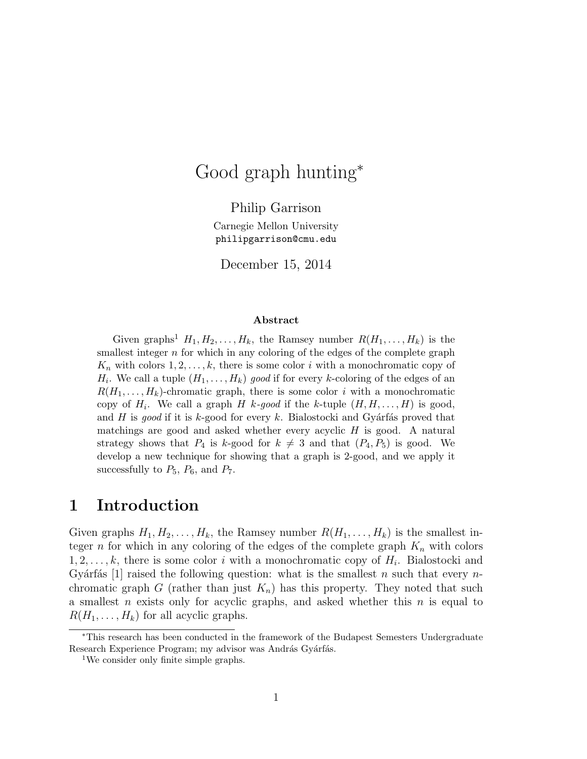# Good graph hunting<sup>∗</sup>

Philip Garrison Carnegie Mellon University philipgarrison@cmu.edu

December 15, 2014

#### Abstract

Given graphs<sup>1</sup>  $H_1, H_2, \ldots, H_k$ , the Ramsey number  $R(H_1, \ldots, H_k)$  is the smallest integer  $n$  for which in any coloring of the edges of the complete graph  $K_n$  with colors  $1, 2, \ldots, k$ , there is some color i with a monochromatic copy of  $H_i$ . We call a tuple  $(H_1, \ldots, H_k)$  good if for every k-coloring of the edges of an  $R(H_1, \ldots, H_k)$ -chromatic graph, there is some color i with a monochromatic copy of  $H_i$ . We call a graph H k-good if the k-tuple  $(H, H, \ldots, H)$  is good, and H is good if it is k-good for every k. Bialostocki and Gyárfás proved that matchings are good and asked whether every acyclic  $H$  is good. A natural strategy shows that  $P_4$  is k-good for  $k \neq 3$  and that  $(P_4, P_5)$  is good. We develop a new technique for showing that a graph is 2-good, and we apply it successfully to  $P_5$ ,  $P_6$ , and  $P_7$ .

### 1 Introduction

Given graphs  $H_1, H_2, \ldots, H_k$ , the Ramsey number  $R(H_1, \ldots, H_k)$  is the smallest integer n for which in any coloring of the edges of the complete graph  $K_n$  with colors  $1, 2, \ldots, k$ , there is some color i with a monochromatic copy of  $H_i$ . Bialostocki and Gyárfás [1] raised the following question: what is the smallest n such that every  $n$ chromatic graph G (rather than just  $K_n$ ) has this property. They noted that such a smallest n exists only for acyclic graphs, and asked whether this  $n$  is equal to  $R(H_1, \ldots, H_k)$  for all acyclic graphs.

<sup>∗</sup>This research has been conducted in the framework of the Budapest Semesters Undergraduate Research Experience Program; my advisor was András Gyárfás.

<sup>&</sup>lt;sup>1</sup>We consider only finite simple graphs.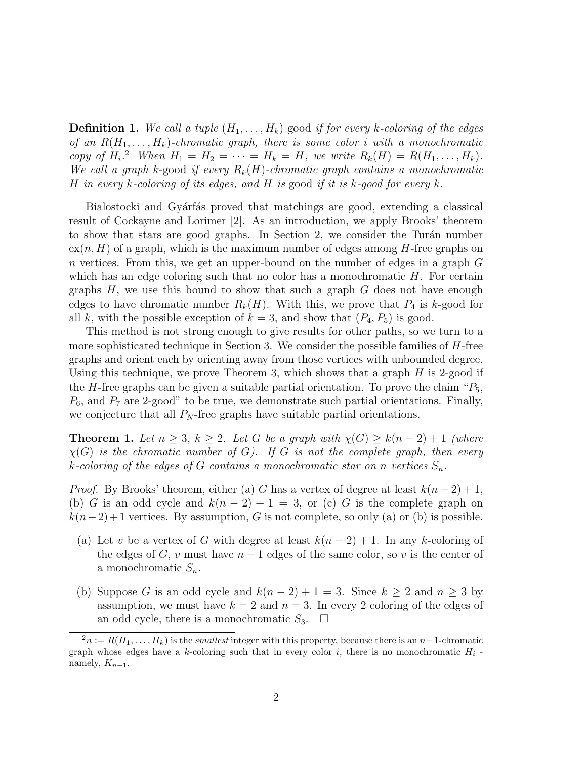**Definition 1.** We call a tuple  $(H_1, \ldots, H_k)$  good if for every k-coloring of the edges of an  $R(H_1, \ldots, H_k)$ -chromatic graph, there is some color i with a monochromatic copy of  $H_i$ .<sup>2</sup> When  $H_1 = H_2 = \cdots = H_k = H$ , we write  $R_k(H) = R(H_1, \ldots, H_k)$ . We call a graph k-good if every  $R_k(H)$ -chromatic graph contains a monochromatic H in every k-coloring of its edges, and H is good if it is k-good for every k.

Bialostocki and Gyárfás proved that matchings are good, extending a classical result of Cockayne and Lorimer [2]. As an introduction, we apply Brooks' theorem to show that stars are good graphs. In Section 2, we consider the Turán number  $ex(n, H)$  of a graph, which is the maximum number of edges among H-free graphs on n vertices. From this, we get an upper-bound on the number of edges in a graph G which has an edge coloring such that no color has a monochromatic  $H$ . For certain graphs  $H$ , we use this bound to show that such a graph  $G$  does not have enough edges to have chromatic number  $R_k(H)$ . With this, we prove that  $P_4$  is k-good for all k, with the possible exception of  $k = 3$ , and show that  $(P_4, P_5)$  is good.

This method is not strong enough to give results for other paths, so we turn to a more sophisticated technique in Section 3. We consider the possible families of  $H$ -free graphs and orient each by orienting away from those vertices with unbounded degree. Using this technique, we prove Theorem 3, which shows that a graph  $H$  is 2-good if the H-free graphs can be given a suitable partial orientation. To prove the claim " $P_5$ ,  $P_6$ , and  $P_7$  are 2-good" to be true, we demonstrate such partial orientations. Finally, we conjecture that all  $P_N$ -free graphs have suitable partial orientations.

**Theorem 1.** Let  $n \geq 3$ ,  $k \geq 2$ . Let G be a graph with  $\chi(G) \geq k(n-2)+1$  (where  $\chi(G)$  is the chromatic number of G). If G is not the complete graph, then every k-coloring of the edges of G contains a monochromatic star on n vertices  $S_n$ .

*Proof.* By Brooks' theorem, either (a) G has a vertex of degree at least  $k(n-2)+1$ , (b) G is an odd cycle and  $k(n-2)+1=3$ , or (c) G is the complete graph on  $k(n-2)+1$  vertices. By assumption, G is not complete, so only (a) or (b) is possible.

- (a) Let v be a vertex of G with degree at least  $k(n-2)+1$ . In any k-coloring of the edges of G, v must have  $n-1$  edges of the same color, so v is the center of a monochromatic  $S_n$ .
- (b) Suppose G is an odd cycle and  $k(n-2)+1=3$ . Since  $k \geq 2$  and  $n \geq 3$  by assumption, we must have  $k = 2$  and  $n = 3$ . In every 2 coloring of the edges of an odd cycle, there is a monochromatic  $S_3$ .  $\Box$

 $2n := R(H_1, \ldots, H_k)$  is the *smallest* integer with this property, because there is an n-1-chromatic graph whose edges have a k-coloring such that in every color i, there is no monochromatic  $H_i$  namely,  $K_{n-1}$ .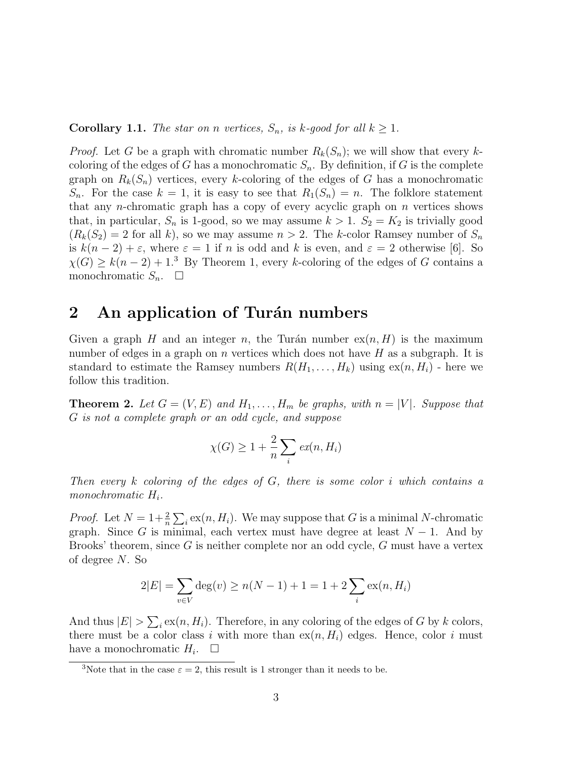#### **Corollary 1.1.** The star on n vertices,  $S_n$ , is k-good for all  $k \geq 1$ .

*Proof.* Let G be a graph with chromatic number  $R_k(S_n)$ ; we will show that every kcoloring of the edges of G has a monochromatic  $S_n$ . By definition, if G is the complete graph on  $R_k(S_n)$  vertices, every k-coloring of the edges of G has a monochromatic  $S_n$ . For the case  $k = 1$ , it is easy to see that  $R_1(S_n) = n$ . The folklore statement that any *n*-chromatic graph has a copy of every acyclic graph on  $n$  vertices shows that, in particular,  $S_n$  is 1-good, so we may assume  $k > 1$ .  $S_2 = K_2$  is trivially good  $(R_k(S_2) = 2$  for all k), so we may assume  $n > 2$ . The k-color Ramsey number of  $S_n$ is  $k(n-2) + \varepsilon$ , where  $\varepsilon = 1$  if n is odd and k is even, and  $\varepsilon = 2$  otherwise [6]. So  $\chi(G) \geq k(n-2)+1$ <sup>3</sup> By Theorem 1, every k-coloring of the edges of G contains a monochromatic  $S_n$ .  $\Box$ 

## 2 An application of Turán numbers

Given a graph H and an integer n, the Turán number  $ex(n, H)$  is the maximum number of edges in a graph on  $n$  vertices which does not have  $H$  as a subgraph. It is standard to estimate the Ramsey numbers  $R(H_1, \ldots, H_k)$  using  $ex(n, H_i)$  - here we follow this tradition.

**Theorem 2.** Let  $G = (V, E)$  and  $H_1, \ldots, H_m$  be graphs, with  $n = |V|$ . Suppose that G is not a complete graph or an odd cycle, and suppose

$$
\chi(G) \ge 1 + \frac{2}{n} \sum_{i} ex(n, H_i)
$$

Then every k coloring of the edges of G, there is some color i which contains a monochromatic  $H_i$ .

*Proof.* Let  $N = 1 + \frac{2}{n} \sum_{i} \exp(n, H_i)$ . We may suppose that G is a minimal N-chromatic graph. Since G is minimal, each vertex must have degree at least  $N-1$ . And by Brooks' theorem, since  $G$  is neither complete nor an odd cycle,  $G$  must have a vertex of degree N. So

$$
2|E| = \sum_{v \in V} \deg(v) \ge n(N-1) + 1 = 1 + 2\sum_{i} \exp(n, H_i)
$$

And thus  $|E| > \sum_i \text{ex}(n, H_i)$ . Therefore, in any coloring of the edges of G by k colors, there must be a color class i with more than  $ex(n, H_i)$  edges. Hence, color i must have a monochromatic  $H_i$ .  $\Box$ 

<sup>&</sup>lt;sup>3</sup>Note that in the case  $\varepsilon = 2$ , this result is 1 stronger than it needs to be.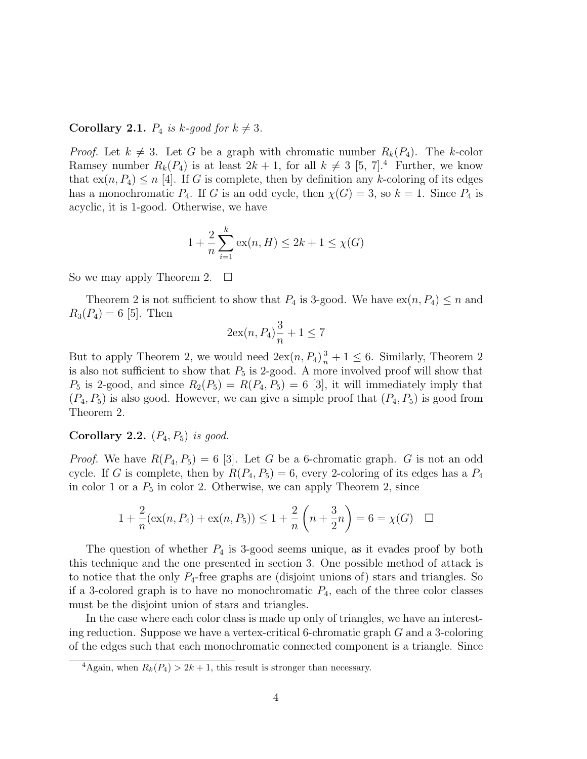#### **Corollary 2.1.**  $P_4$  is k-good for  $k \neq 3$ .

*Proof.* Let  $k \neq 3$ . Let G be a graph with chromatic number  $R_k(P_4)$ . The k-color Ramsey number  $R_k(P_4)$  is at least  $2k + 1$ , for all  $k \neq 3$  [5, 7].<sup>4</sup> Further, we know that  $ex(n, P_4) \leq n$  [4]. If G is complete, then by definition any k-coloring of its edges has a monochromatic  $P_4$ . If G is an odd cycle, then  $\chi(G) = 3$ , so  $k = 1$ . Since  $P_4$  is acyclic, it is 1-good. Otherwise, we have

$$
1 + \frac{2}{n} \sum_{i=1}^{k} \text{ex}(n, H) \le 2k + 1 \le \chi(G)
$$

So we may apply Theorem 2.  $\Box$ 

Theorem 2 is not sufficient to show that  $P_4$  is 3-good. We have  $ex(n, P_4) \leq n$  and  $R_3(P_4) = 6$  [5]. Then

$$
2\mathrm{ex}(n, P_4)\frac{3}{n} + 1 \le 7
$$

But to apply Theorem 2, we would need  $2ex(n, P_4)\frac{3}{n} + 1 \leq 6$ . Similarly, Theorem 2 is also not sufficient to show that  $P_5$  is 2-good. A more involved proof will show that  $P_5$  is 2-good, and since  $R_2(P_5) = R(P_4, P_5) = 6$  [3], it will immediately imply that  $(P_4, P_5)$  is also good. However, we can give a simple proof that  $(P_4, P_5)$  is good from Theorem 2.

#### Corollary 2.2.  $(P_4, P_5)$  is good.

*Proof.* We have  $R(P_4, P_5) = 6$  [3]. Let G be a 6-chromatic graph. G is not an odd cycle. If G is complete, then by  $R(P_4, P_5) = 6$ , every 2-coloring of its edges has a  $P_4$ in color 1 or a  $P_5$  in color 2. Otherwise, we can apply Theorem 2, since

$$
1 + \frac{2}{n}(\operatorname{ex}(n, P_4) + \operatorname{ex}(n, P_5)) \le 1 + \frac{2}{n}\left(n + \frac{3}{2}n\right) = 6 = \chi(G) \quad \Box
$$

The question of whether  $P_4$  is 3-good seems unique, as it evades proof by both this technique and the one presented in section 3. One possible method of attack is to notice that the only  $P_4$ -free graphs are (disjoint unions of) stars and triangles. So if a 3-colored graph is to have no monochromatic  $P_4$ , each of the three color classes must be the disjoint union of stars and triangles.

In the case where each color class is made up only of triangles, we have an interesting reduction. Suppose we have a vertex-critical 6-chromatic graph G and a 3-coloring of the edges such that each monochromatic connected component is a triangle. Since

<sup>&</sup>lt;sup>4</sup>Again, when  $R_k(P_4) > 2k + 1$ , this result is stronger than necessary.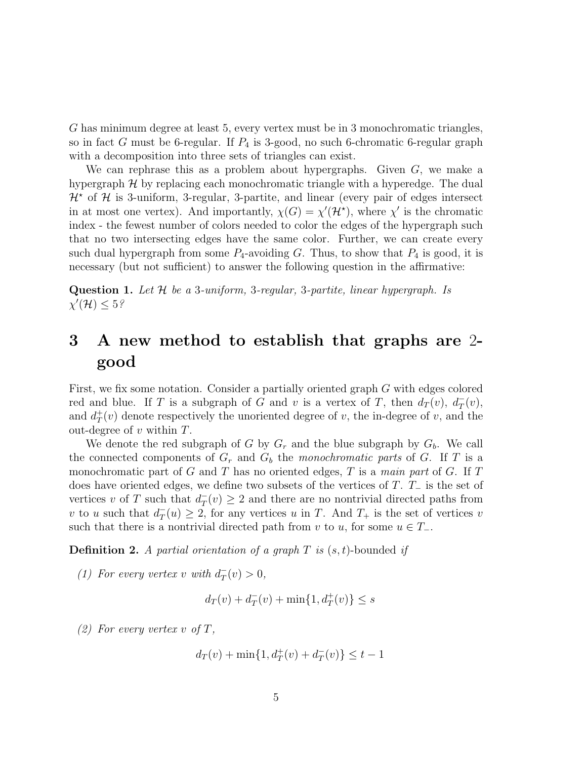G has minimum degree at least 5, every vertex must be in 3 monochromatic triangles, so in fact G must be 6-regular. If  $P_4$  is 3-good, no such 6-chromatic 6-regular graph with a decomposition into three sets of triangles can exist.

We can rephrase this as a problem about hypergraphs. Given  $G$ , we make a hypergraph  $H$  by replacing each monochromatic triangle with a hyperedge. The dual  $\mathcal{H}^*$  of  $\mathcal{H}$  is 3-uniform, 3-regular, 3-partite, and linear (every pair of edges intersect in at most one vertex). And importantly,  $\chi(G) = \chi'(\mathcal{H}^*)$ , where  $\chi'$  is the chromatic index - the fewest number of colors needed to color the edges of the hypergraph such that no two intersecting edges have the same color. Further, we can create every such dual hypergraph from some  $P_4$ -avoiding G. Thus, to show that  $P_4$  is good, it is necessary (but not sufficient) to answer the following question in the affirmative:

**Question 1.** Let  $H$  be a 3-uniform, 3-regular, 3-partite, linear hypergraph. Is  $\chi'(\mathcal{H}) \leq 5\%$ 

## 3 A new method to establish that graphs are 2 good

First, we fix some notation. Consider a partially oriented graph G with edges colored red and blue. If T is a subgraph of G and v is a vertex of T, then  $d_T(v)$ ,  $d_T^{\dagger}$  $^-_T(v)$ , and  $d^+$  $T(T(v))$  denote respectively the unoriented degree of v, the in-degree of v, and the out-degree of  $v$  within  $T$ .

We denote the red subgraph of G by  $G_r$  and the blue subgraph by  $G_b$ . We call the connected components of  $G_r$  and  $G_b$  the monochromatic parts of G. If T is a monochromatic part of G and T has no oriented edges, T is a main part of G. If  $T$ does have oriented edges, we define two subsets of the vertices of T. T<sup>−</sup> is the set of vertices v of T such that  $d_T^ T(T(v) \geq 2$  and there are no nontrivial directed paths from v to u such that  $d_T^ T(T(u) \geq 2$ , for any vertices u in T. And  $T_+$  is the set of vertices v such that there is a nontrivial directed path from v to u, for some  $u \in T_-\$ .

**Definition 2.** A partial orientation of a graph  $T$  is  $(s, t)$ -bounded if

(1) For every vertex v with  $d_T^ T_T^-(v) > 0,$ 

$$
d_T(v) + d_T^-(v) + \min\{1, d_T^+(v)\} \le s
$$

(2) For every vertex v of  $T$ ,

$$
d_T(v) + \min\{1, d_T^+(v) + d_T^-(v)\} \le t - 1
$$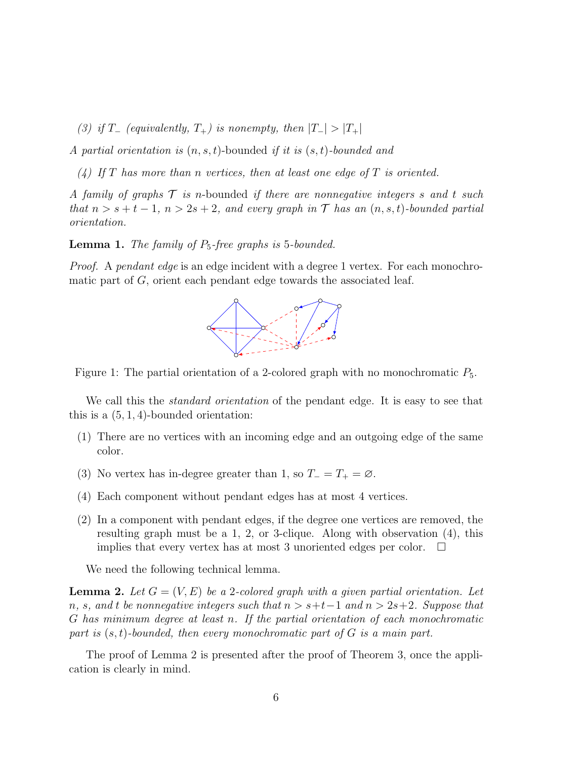(3) if T<sub>-</sub> (equivalently,  $T_+$ ) is nonempty, then  $|T_-| > |T_+|$ 

A partial orientation is  $(n, s, t)$ -bounded if it is  $(s, t)$ -bounded and

(4) If T has more than n vertices, then at least one edge of T is oriented.

A family of graphs  $\mathcal T$  is n-bounded if there are nonnegative integers s and t such that  $n > s + t - 1$ ,  $n > 2s + 2$ , and every graph in  $\mathcal T$  has an  $(n, s, t)$ -bounded partial orientation.

**Lemma 1.** The family of  $P_5$ -free graphs is 5-bounded.

Proof. A pendant edge is an edge incident with a degree 1 vertex. For each monochromatic part of  $G$ , orient each pendant edge towards the associated leaf.





We call this the *standard orientation* of the pendant edge. It is easy to see that this is a  $(5, 1, 4)$ -bounded orientation:

- (1) There are no vertices with an incoming edge and an outgoing edge of the same color.
- (3) No vertex has in-degree greater than 1, so  $T_ = T_ + = \emptyset$ .
- (4) Each component without pendant edges has at most 4 vertices.
- (2) In a component with pendant edges, if the degree one vertices are removed, the resulting graph must be a 1, 2, or 3-clique. Along with observation (4), this implies that every vertex has at most 3 unoriented edges per color.  $\Box$

We need the following technical lemma.

**Lemma 2.** Let  $G = (V, E)$  be a 2-colored graph with a given partial orientation. Let n, s, and t be nonnegative integers such that  $n > s+t-1$  and  $n > 2s+2$ . Suppose that G has minimum degree at least n. If the partial orientation of each monochromatic part is  $(s, t)$ -bounded, then every monochromatic part of G is a main part.

The proof of Lemma 2 is presented after the proof of Theorem 3, once the application is clearly in mind.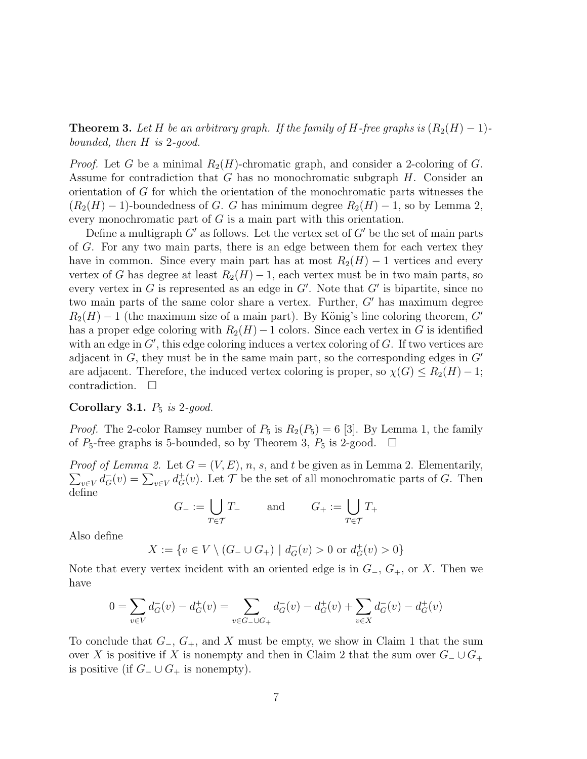**Theorem 3.** Let H be an arbitrary graph. If the family of H-free graphs is  $(R_2(H) - 1)$ bounded, then H is 2-good.

*Proof.* Let G be a minimal  $R_2(H)$ -chromatic graph, and consider a 2-coloring of G. Assume for contradiction that  $G$  has no monochromatic subgraph  $H$ . Consider an orientation of G for which the orientation of the monochromatic parts witnesses the  $(R_2(H) - 1)$ -boundedness of G. G has minimum degree  $R_2(H) - 1$ , so by Lemma 2, every monochromatic part of  $G$  is a main part with this orientation.

Define a multigraph  $G'$  as follows. Let the vertex set of  $G'$  be the set of main parts of G. For any two main parts, there is an edge between them for each vertex they have in common. Since every main part has at most  $R_2(H) - 1$  vertices and every vertex of G has degree at least  $R_2(H) - 1$ , each vertex must be in two main parts, so every vertex in  $G$  is represented as an edge in  $G'$ . Note that  $G'$  is bipartite, since no two main parts of the same color share a vertex. Further,  $G'$  has maximum degree  $R_2(H) - 1$  (the maximum size of a main part). By König's line coloring theorem, G' has a proper edge coloring with  $R_2(H)$  – 1 colors. Since each vertex in G is identified with an edge in  $G'$ , this edge coloring induces a vertex coloring of  $G$ . If two vertices are adjacent in  $G$ , they must be in the same main part, so the corresponding edges in  $G'$ are adjacent. Therefore, the induced vertex coloring is proper, so  $\chi(G) \leq R_2(H) - 1$ ; contradiction.  $\Box$ 

#### Corollary 3.1.  $P_5$  is 2-good.

*Proof.* The 2-color Ramsey number of  $P_5$  is  $R_2(P_5) = 6$  [3]. By Lemma 1, the family of  $P_5$ -free graphs is 5-bounded, so by Theorem 3,  $P_5$  is 2-good.  $\Box$ 

*Proof of Lemma 2.* Let  $G = (V, E), n, s$ , and t be given as in Lemma 2. Elementarily,  $\sum_{v\in V} d^-_G(v) = \sum_{v\in V} d^+_G(v)$ . Let  $\mathcal T$  be the set of all monochromatic parts of G. Then define

$$
G_{-} := \bigcup_{T \in \mathcal{T}} T_{-} \quad \text{and} \quad G_{+} := \bigcup_{T \in \mathcal{T}} T_{+}
$$

Also define

$$
X:=\{v\in V\setminus (G_-\cup G_+)\mid d^-_G(v)>0\text{ or }d^+_G(v)>0\}
$$

Note that every vertex incident with an oriented edge is in  $G_-, G_+,$  or X. Then we have

$$
0 = \sum_{v \in V} d_G^-(v) - d_G^+(v) = \sum_{v \in G_- \cup G_+} d_G^-(v) - d_G^+(v) + \sum_{v \in X} d_G^-(v) - d_G^+(v)
$$

To conclude that  $G_-, G_+,$  and X must be empty, we show in Claim 1 that the sum over X is positive if X is nonempty and then in Claim 2 that the sum over  $G_-\cup G_+$ is positive (if  $G_-\cup G_+$  is nonempty).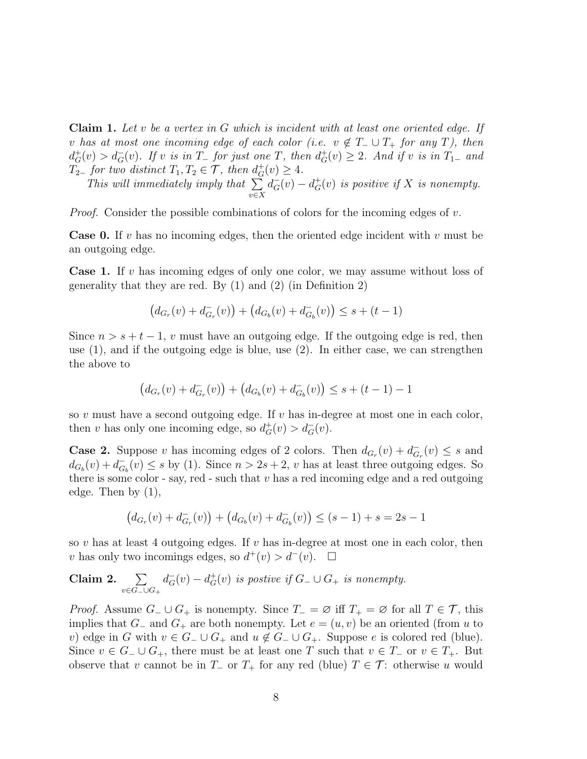**Claim 1.** Let v be a vertex in G which is incident with at least one oriented edge. If v has at most one incoming edge of each color (i.e.  $v \notin T_-\cup T_+$  for any T), then  $d_G^+(v) > d_G^-(v)$ . If v is in  $T_+$  for just one T, then  $d_G^+(v) \geq 2$ . And if v is in  $T_{1-}$  and  $T_{2-}$  for two distinct  $T_1, T_2 \in \mathcal{T}$ , then  $d_G^+(v) \geq 4$ .

This will immediately imply that  $\sum$ v∈X  $d_G^-(v) - d_G^+(v)$  is positive if X is nonempty.

*Proof.* Consider the possible combinations of colors for the incoming edges of  $v$ .

**Case 0.** If v has no incoming edges, then the oriented edge incident with v must be an outgoing edge.

**Case 1.** If v has incoming edges of only one color, we may assume without loss of generality that they are red. By  $(1)$  and  $(2)$  (in Definition 2)

$$
(d_{G_r}(v) + d_{G_r}^-(v)) + (d_{G_b}(v) + d_{G_b}^-(v)) \leq s + (t - 1)
$$

Since  $n > s + t - 1$ , v must have an outgoing edge. If the outgoing edge is red, then use  $(1)$ , and if the outgoing edge is blue, use  $(2)$ . In either case, we can strengthen the above to

$$
(d_{G_r}(v) + d_{G_r}^-(v)) + (d_{G_b}(v) + d_{G_b}^-(v)) \leq s + (t - 1) - 1
$$

so  $v$  must have a second outgoing edge. If  $v$  has in-degree at most one in each color, then v has only one incoming edge, so  $d_G^+(v) > d_G^-(v)$ .

**Case 2.** Suppose v has incoming edges of 2 colors. Then  $d_{G_r}(v) + d_{G_r}(v)$  $_{G_r}^-(v) \leq s$  and  $d_{G_b}(v) + d_{G}^{-}$  $G_b(v) \leq s$  by (1). Since  $n > 2s + 2$ , v has at least three outgoing edges. So there is some color - say, red - such that  $v$  has a red incoming edge and a red outgoing edge. Then by (1),

$$
(d_{G_r}(v) + d_{G_r}^-(v)) + (d_{G_b}(v) + d_{G_b}^-(v)) \le (s - 1) + s = 2s - 1
$$

so v has at least 4 outgoing edges. If v has in-degree at most one in each color, then v has only two incomings edges, so  $d^+(v) > d^-(v)$ .  $\Box$ 

**Claim 2.** 
$$
\sum_{v \in G_-\cup G_+} d^-_G(v) - d^+_G(v)
$$
 is positive if  $G_-\cup G_+$  is nonempty.

*Proof.* Assume  $G_-\cup G_+$  is nonempty. Since  $T_-\neq \emptyset$  iff  $T_+\neq \emptyset$  for all  $T\in \mathcal{T}$ , this implies that  $G_-\$  and  $G_+$  are both nonempty. Let  $e = (u, v)$  be an oriented (from u to v) edge in G with  $v \in G_-\cup G_+$  and  $u \notin G_-\cup G_+$ . Suppose e is colored red (blue). Since  $v \in G_-\cup G_+$ , there must be at least one T such that  $v \in T_-\text{ or } v \in T_+$ . But observe that v cannot be in  $T_$  or  $T_+$  for any red (blue)  $T \in \mathcal{T}$ : otherwise u would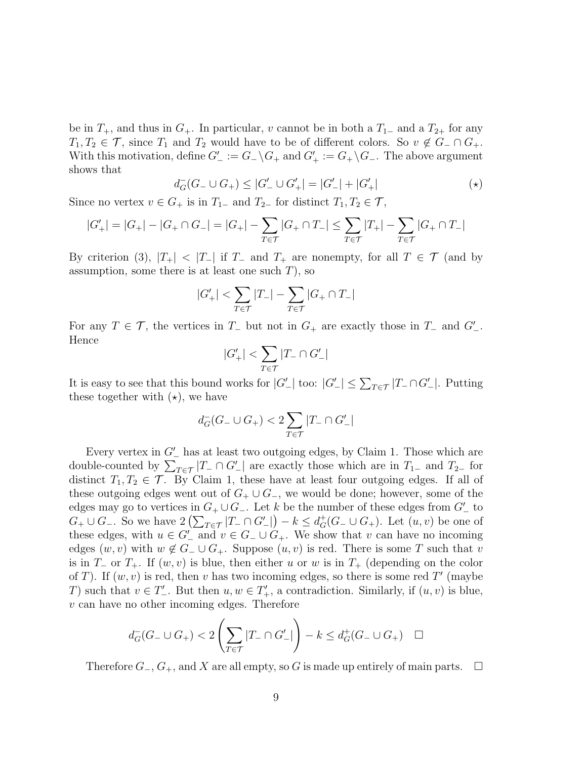be in  $T_+$ , and thus in  $G_+$ . In particular, v cannot be in both a  $T_{1-}$  and a  $T_{2+}$  for any  $T_1, T_2 \in \mathcal{T}$ , since  $T_1$  and  $T_2$  would have to be of different colors. So  $v \notin G_-\cap G_+$ . With this motivation, define  $G'_{-} := G_{-} \backslash G_{+}$  and  $G'_{+} := G_{+} \backslash G_{-}$ . The above argument shows that

$$
d_G^-(G_- \cup G_+) \le |G'_- \cup G'_+| = |G'_-| + |G'_+| \tag{*}
$$

Since no vertex  $v \in G_+$  is in  $T_{1-}$  and  $T_{2-}$  for distinct  $T_1, T_2 \in \mathcal{T}$ ,

$$
|G'_{+}| = |G_{+}| - |G_{+} \cap G_{-}| = |G_{+}| - \sum_{T \in \mathcal{T}} |G_{+} \cap T_{-}| \leq \sum_{T \in \mathcal{T}} |T_{+}| - \sum_{T \in \mathcal{T}} |G_{+} \cap T_{-}|
$$

By criterion (3),  $|T_+| < |T_-|$  if  $T_-$  and  $T_+$  are nonempty, for all  $T \in \mathcal{T}$  (and by assumption, some there is at least one such  $T$ ), so

$$
|G'_+|<\sum_{T\in\mathcal{T}}|T_-|-\sum_{T\in\mathcal{T}}|G_+\cap T_-|
$$

For any  $T \in \mathcal{T}$ , the vertices in  $T_-\,$  but not in  $G_+$  are exactly those in  $T_-\,$  and  $G'_-$ . Hence

$$
|G'_+|<\sum_{T\in\mathcal{T}}|T_-\cap G'_-|
$$

It is easy to see that this bound works for  $|G'_{-}|$  too:  $|G'_{-}| \leq \sum_{T \in \mathcal{T}} |T_{-} \cap G'_{-}|$ . Putting these together with  $(\star)$ , we have

$$
d_G^-(G_-\cup G_+)<2\sum_{T\in\mathcal{T}}|T_-\cap G'_-|
$$

Every vertex in  $G'$ <sub>-</sub> has at least two outgoing edges, by Claim 1. Those which are double-counted by  $\sum_{T \in \mathcal{T}} |T_-\cap G_-'|$  are exactly those which are in  $T_{1-}$  and  $T_{2-}$  for distinct  $T_1, T_2 \in \mathcal{T}$ . By Claim 1, these have at least four outgoing edges. If all of these outgoing edges went out of  $G_+ \cup G_-,$  we would be done; however, some of the edges may go to vertices in  $G_+ \cup G_-.$  Let k be the number of these edges from  $G'_-$  to  $G_+ \cup G_-.$  So we have  $2(\sum_{T \in \mathcal{T}} |T_- \cap G_-'|) - k \leq d_G^+(G_- \cup G_+).$  Let  $(u, v)$  be one of these edges, with  $u \in G'$  and  $v \in G_- \cup G_+$ . We show that v can have no incoming edges  $(w, v)$  with  $w \notin G_-\cup G_+$ . Suppose  $(u, v)$  is red. There is some T such that v is in  $T_$  or  $T_+$ . If  $(w, v)$  is blue, then either u or w is in  $T_+$  (depending on the color of T). If  $(w, v)$  is red, then v has two incoming edges, so there is some red T' (maybe T) such that  $v \in T'_{-}$ . But then  $u, w \in T'_{+}$ , a contradiction. Similarly, if  $(u, v)$  is blue, v can have no other incoming edges. Therefore

$$
d_G^-(G_-\cup G_+) < 2\left(\sum_{T\in\mathcal{T}}|T_-\cap G'_-|\right) - k \leq d_G^+(G_-\cup G_+) \quad \Box
$$

Therefore  $G_-, G_+,$  and X are all empty, so G is made up entirely of main parts.  $\Box$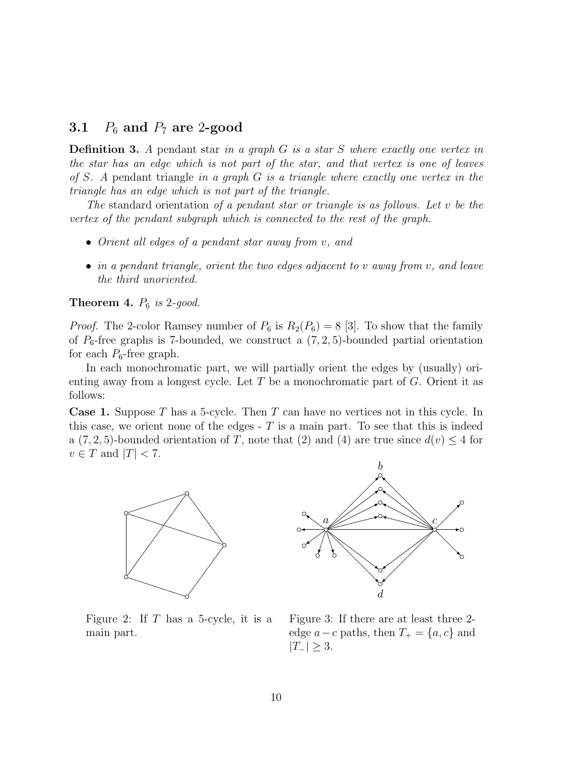### 3.1  $P_6$  and  $P_7$  are 2-good

**Definition 3.** A pendant star in a graph  $G$  is a star  $S$  where exactly one vertex in the star has an edge which is not part of the star, and that vertex is one of leaves of S. A pendant triangle in a graph  $G$  is a triangle where exactly one vertex in the triangle has an edge which is not part of the triangle.

The standard orientation of a pendant star or triangle is as follows. Let  $v$  be the vertex of the pendant subgraph which is connected to the rest of the graph.

- Orient all edges of a pendant star away from v, and
- in a pendant triangle, orient the two edges adjacent to v away from v, and leave the third unoriented.

**Theorem 4.**  $P_6$  is 2-good.

*Proof.* The 2-color Ramsey number of  $P_6$  is  $R_2(P_6) = 8$  [3]. To show that the family of  $P_6$ -free graphs is 7-bounded, we construct a  $(7, 2, 5)$ -bounded partial orientation for each  $P_6$ -free graph.

In each monochromatic part, we will partially orient the edges by (usually) orienting away from a longest cycle. Let  $T$  be a monochromatic part of  $G$ . Orient it as follows:

**Case 1.** Suppose T has a 5-cycle. Then T can have no vertices not in this cycle. In this case, we orient none of the edges  $-$  T is a main part. To see that this is indeed a  $(7, 2, 5)$ -bounded orientation of T, note that  $(2)$  and  $(4)$  are true since  $d(v) \leq 4$  for  $v \in T$  and  $|T| < 7$ .





Figure 2: If  $T$  has a 5-cycle, it is a main part.

Figure 3: If there are at least three 2 edge  $a - c$  paths, then  $T_+ = \{a, c\}$  and  $|T_-|\geq 3.$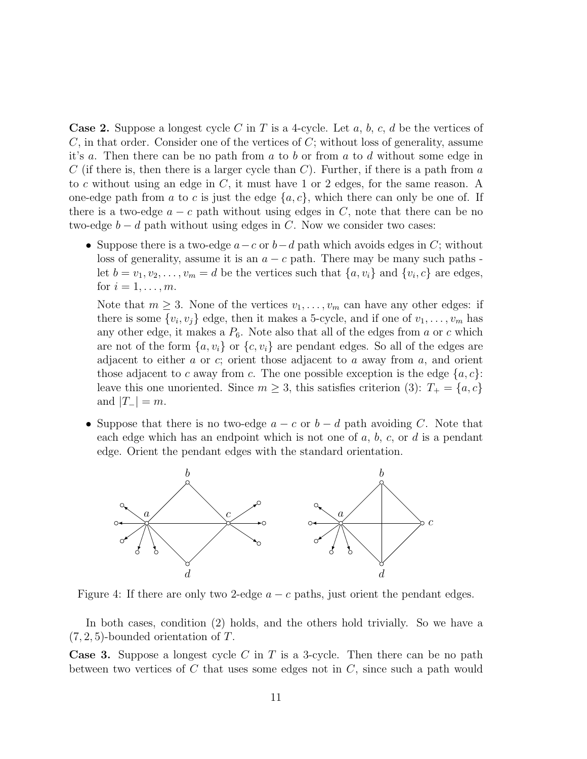**Case 2.** Suppose a longest cycle C in T is a 4-cycle. Let a, b, c, d be the vertices of  $C$ , in that order. Consider one of the vertices of  $C$ ; without loss of generality, assume it's a. Then there can be no path from a to b or from a to d without some edge in C (if there is, then there is a larger cycle than C). Further, if there is a path from  $a$ to c without using an edge in C, it must have 1 or 2 edges, for the same reason. A one-edge path from a to c is just the edge  $\{a, c\}$ , which there can only be one of. If there is a two-edge  $a - c$  path without using edges in C, note that there can be no two-edge  $b - d$  path without using edges in C. Now we consider two cases:

• Suppose there is a two-edge  $a-c$  or  $b-d$  path which avoids edges in C; without loss of generality, assume it is an  $a - c$  path. There may be many such paths let  $b = v_1, v_2, \dots, v_m = d$  be the vertices such that  $\{a, v_i\}$  and  $\{v_i, c\}$  are edges, for  $i = 1, \ldots, m$ .

Note that  $m \geq 3$ . None of the vertices  $v_1, \ldots, v_m$  can have any other edges: if there is some  $\{v_i, v_j\}$  edge, then it makes a 5-cycle, and if one of  $v_1, \ldots, v_m$  has any other edge, it makes a  $P_6$ . Note also that all of the edges from a or c which are not of the form  $\{a, v_i\}$  or  $\{c, v_i\}$  are pendant edges. So all of the edges are adjacent to either a or c; orient those adjacent to a away from  $a$ , and orient those adjacent to c away from c. The one possible exception is the edge  $\{a, c\}$ : leave this one unoriented. Since  $m \geq 3$ , this satisfies criterion (3):  $T_+ = \{a, c\}$ and  $|T_{-}| = m$ .

• Suppose that there is no two-edge  $a - c$  or  $b - d$  path avoiding C. Note that each edge which has an endpoint which is not one of  $a, b, c,$  or  $d$  is a pendant edge. Orient the pendant edges with the standard orientation.



Figure 4: If there are only two 2-edge  $a - c$  paths, just orient the pendant edges.

In both cases, condition (2) holds, and the others hold trivially. So we have a  $(7, 2, 5)$ -bounded orientation of T.

**Case 3.** Suppose a longest cycle C in T is a 3-cycle. Then there can be no path between two vertices of  $C$  that uses some edges not in  $C$ , since such a path would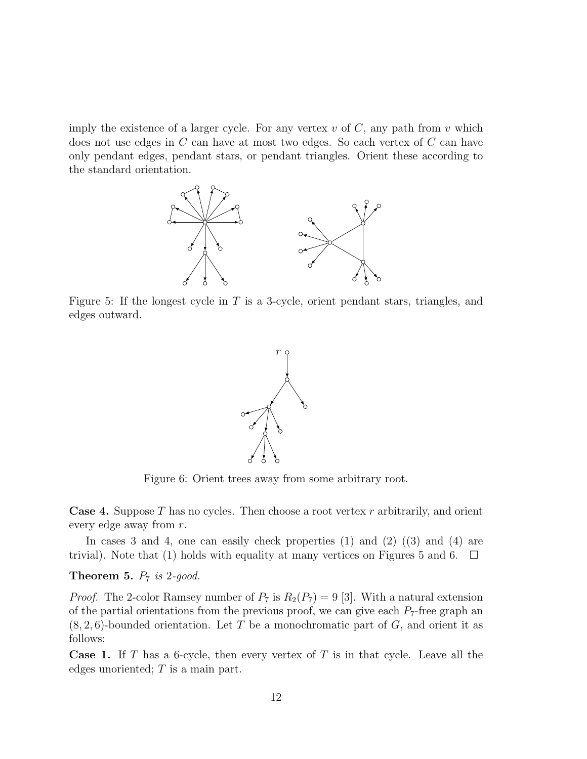imply the existence of a larger cycle. For any vertex  $v$  of  $C$ , any path from  $v$  which does not use edges in C can have at most two edges. So each vertex of C can have only pendant edges, pendant stars, or pendant triangles. Orient these according to the standard orientation.



Figure 5: If the longest cycle in  $T$  is a 3-cycle, orient pendant stars, triangles, and edges outward.



Figure 6: Orient trees away from some arbitrary root.

**Case 4.** Suppose T has no cycles. Then choose a root vertex  $r$  arbitrarily, and orient every edge away from r.

In cases 3 and 4, one can easily check properties (1) and (2) ((3) and (4) are trivial). Note that (1) holds with equality at many vertices on Figures 5 and 6.  $\Box$ 

### **Theorem 5.**  $P_7$  is 2-good.

*Proof.* The 2-color Ramsey number of  $P_7$  is  $R_2(P_7) = 9$  [3]. With a natural extension of the partial orientations from the previous proof, we can give each  $P_7$ -free graph an  $(8, 2, 6)$ -bounded orientation. Let T be a monochromatic part of G, and orient it as follows:

**Case 1.** If T has a 6-cycle, then every vertex of T is in that cycle. Leave all the edges unoriented;  $T$  is a main part.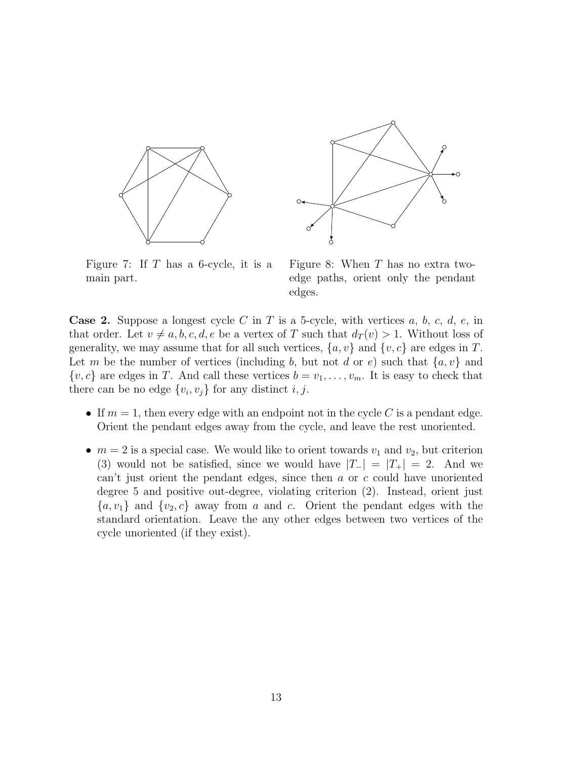



Figure 7: If  $T$  has a 6-cycle, it is a main part.

Figure 8: When  $T$  has no extra twoedge paths, orient only the pendant edges.

**Case 2.** Suppose a longest cycle C in T is a 5-cycle, with vertices  $a, b, c, d, e$ , in that order. Let  $v \neq a, b, c, d, e$  be a vertex of T such that  $d_T(v) > 1$ . Without loss of generality, we may assume that for all such vertices,  $\{a, v\}$  and  $\{v, c\}$  are edges in T. Let m be the number of vertices (including b, but not d or e) such that  $\{a, v\}$  and  $\{v, c\}$  are edges in T. And call these vertices  $b = v_1, \ldots, v_m$ . It is easy to check that there can be no edge  $\{v_i, v_j\}$  for any distinct  $i, j$ .

- If  $m = 1$ , then every edge with an endpoint not in the cycle C is a pendant edge. Orient the pendant edges away from the cycle, and leave the rest unoriented.
- $m = 2$  is a special case. We would like to orient towards  $v_1$  and  $v_2$ , but criterion (3) would not be satisfied, since we would have  $|T_-\|=|T_+\|=2$ . And we can't just orient the pendant edges, since then  $a$  or  $c$  could have unoriented degree 5 and positive out-degree, violating criterion (2). Instead, orient just  ${a, v_1}$  and  ${v_2, c}$  away from a and c. Orient the pendant edges with the standard orientation. Leave the any other edges between two vertices of the cycle unoriented (if they exist).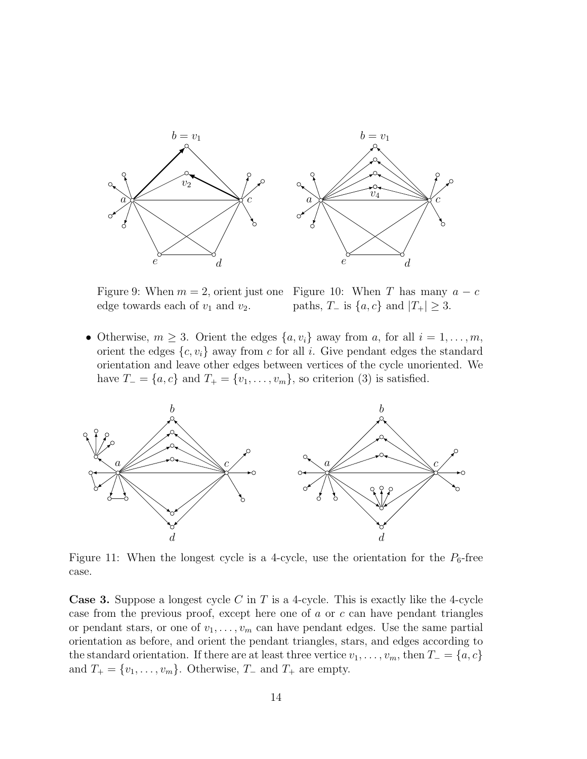

edge towards each of  $v_1$  and  $v_2$ .

Figure 9: When  $m = 2$ , orient just one Figure 10: When T has many  $a - c$ paths,  $T_-\text{ is } \{a, c\}$  and  $|T_+| \geq 3$ .

• Otherwise,  $m \geq 3$ . Orient the edges  $\{a, v_i\}$  away from a, for all  $i = 1, \ldots, m$ , orient the edges  $\{c, v_i\}$  away from c for all i. Give pendant edges the standard orientation and leave other edges between vertices of the cycle unoriented. We have  $T_ = \{a, c\}$  and  $T_ + = \{v_1, \ldots, v_m\}$ , so criterion (3) is satisfied.



Figure 11: When the longest cycle is a 4-cycle, use the orientation for the  $P_6$ -free case.

**Case 3.** Suppose a longest cycle C in T is a 4-cycle. This is exactly like the 4-cycle case from the previous proof, except here one of  $a$  or  $c$  can have pendant triangles or pendant stars, or one of  $v_1, \ldots, v_m$  can have pendant edges. Use the same partial orientation as before, and orient the pendant triangles, stars, and edges according to the standard orientation. If there are at least three vertice  $v_1, \ldots, v_m$ , then  $T_ = \{a, c\}$ and  $T_+ = \{v_1, \ldots, v_m\}$ . Otherwise,  $T_-$  and  $T_+$  are empty.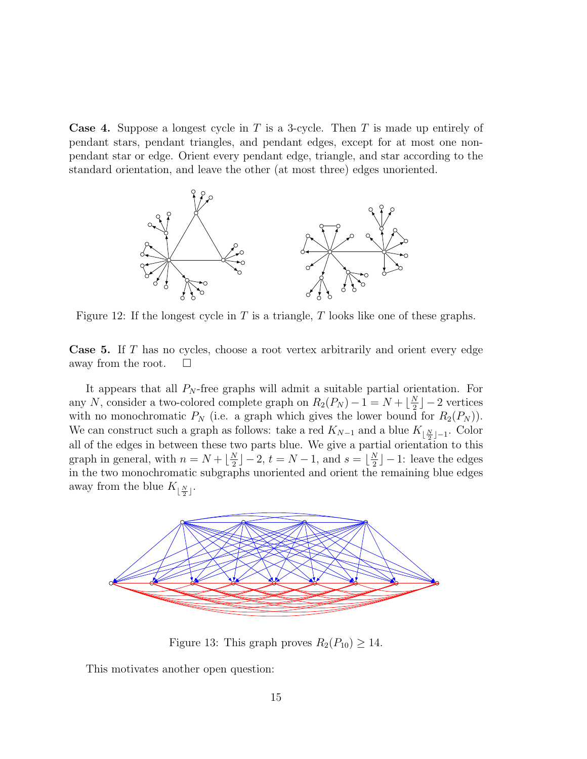**Case 4.** Suppose a longest cycle in T is a 3-cycle. Then T is made up entirely of pendant stars, pendant triangles, and pendant edges, except for at most one nonpendant star or edge. Orient every pendant edge, triangle, and star according to the standard orientation, and leave the other (at most three) edges unoriented.



Figure 12: If the longest cycle in  $T$  is a triangle,  $T$  looks like one of these graphs.

Case 5. If T has no cycles, choose a root vertex arbitrarily and orient every edge away from the root.  $\square$ 

It appears that all  $P_N$ -free graphs will admit a suitable partial orientation. For any N, consider a two-colored complete graph on  $R_2(P_N) - 1 = N + \lfloor \frac{N}{2} \rfloor$  $\frac{N}{2}$ ] – 2 vertices with no monochromatic  $P_N$  (i.e. a graph which gives the lower bound for  $R_2(P_N)$ ). We can construct such a graph as follows: take a red  $K_{N-1}$  and a blue  $K_{\lfloor \frac{N}{2} \rfloor - 1}$ . Color all of the edges in between these two parts blue. We give a partial orientation to this graph in general, with  $n = N + \lfloor \frac{N}{2} \rfloor$  $\lfloor \frac{N}{2} \rfloor - 2, t = N - 1, \text{ and } s = \lfloor \frac{N}{2} \rfloor$  $\frac{N}{2}$ ] – 1: leave the edges in the two monochromatic subgraphs unoriented and orient the remaining blue edges away from the blue  $K_{\lfloor \frac{N}{2} \rfloor}$ .



Figure 13: This graph proves  $R_2(P_{10}) \geq 14$ .

This motivates another open question: